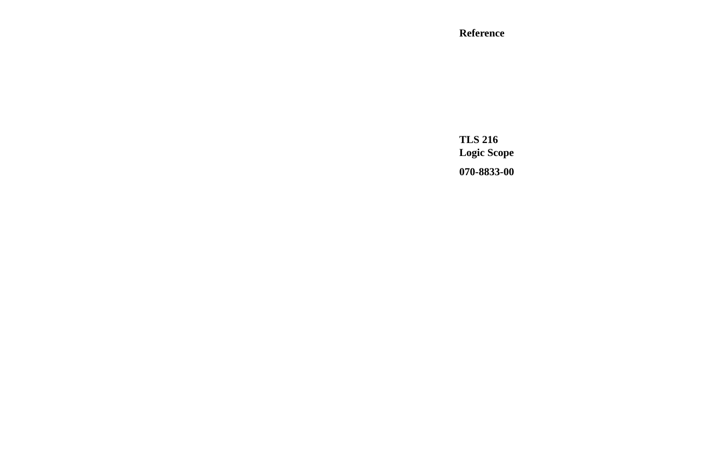#### **Reference**

**TLS 216 Logic Scope 070-8833-00**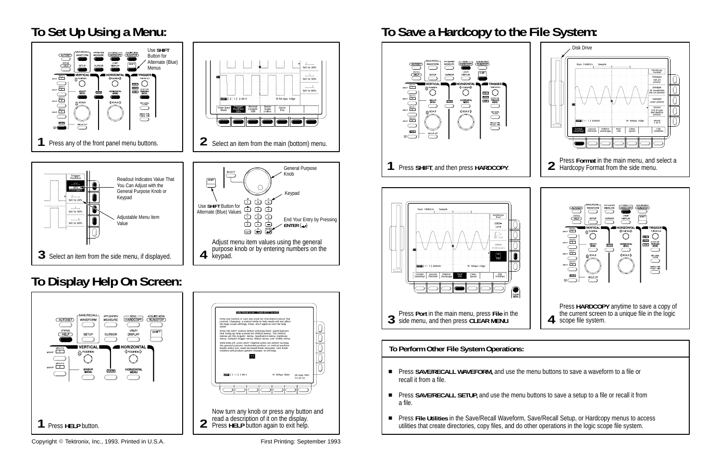



- **EXAMPLE PREST SAVE/RECALL WAVEFORM, and use the menu buttons to save a waveform to a file or** recall it from a file.
- Press SAVE/RECALL SETUP, and use the menu buttons to save a setup to a file or recall it from a file.
- Press File Utilities in the Save/Recall Waveform, Save/Recall Setup, or Hardcopy menus to access utilities that create directories, copy files, and do other operations in the logic scope file system.

## **To Display Help On Screen:**







**To Perform Other File System Operations:**



Copyright Tektronix, Inc., 1993. Printed in U.S.A. First Printing: September 1993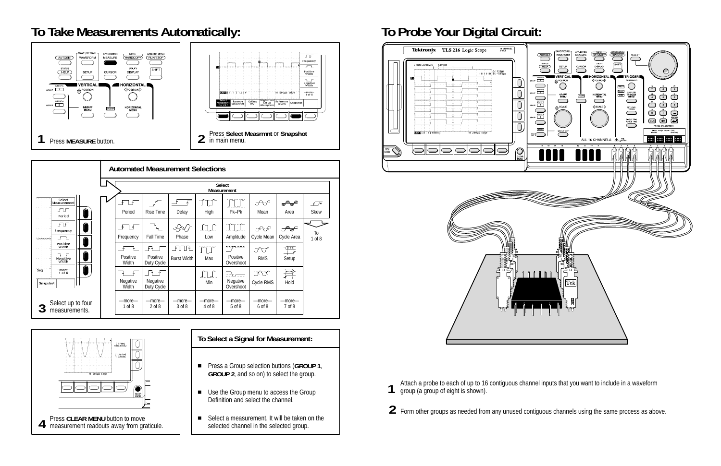### **To Take Measurements Automatically: To Probe Your Digital Circuit:**

|                                                                  | <b>Automated Measurement Selections</b> |                          |                                     |                             |                        |                                            |                            |                 |                           |  |
|------------------------------------------------------------------|-----------------------------------------|--------------------------|-------------------------------------|-----------------------------|------------------------|--------------------------------------------|----------------------------|-----------------|---------------------------|--|
|                                                                  |                                         |                          | <b>Select</b><br><b>Measurement</b> |                             |                        |                                            |                            |                 |                           |  |
| Select<br>Measurement<br>FF<br>Period                            |                                         | ا∱⊹<br>Period            | Rise Time                           | Delay                       | High                   | Pk-Pk                                      | ्≻√े<br>Mean               | "≏<br>Area      | $\sqrt{4}$<br><b>Skew</b> |  |
| FF<br>Frequency<br>$\overline{\phantom{a}}$<br>interlectedential |                                         | ∱<br>Ŀ<br>Frequency      | <b>Fall Time</b>                    | ⊰≫∕<br>Phase                | NLC.<br>Low            | $-\gamma$<br>Amplitude                     | بجيءجن<br>Cycle Mean       | ₩<br>Cycle Area | Тo<br>$1$ of $8$          |  |
| Positive<br>Width<br>$\sqrt{2}$<br>Negative<br>Width             |                                         | Positive<br>Width        | ł₹<br>Positive<br>Duty Cycle        | FUUFL<br><b>Burst Width</b> | M<br>Max               | $\equiv$<br>Positive<br>Overshoot          | JV.<br><b>RMS</b>          | 算<br>Setup      |                           |  |
| $-more-$<br>Seq<br>$1$ of $8$<br>Snapshot                        |                                         | <b>Negative</b><br>Width | ஈ<br>- ∗<br>Negative<br>Duty Cycle  |                             | Min                    | mla <del>ma</del><br>Negative<br>Overshoot | <b>XA</b><br>Cycle RMS     | 拌<br>Hold       |                           |  |
| Select up to four<br>measurements.                               |                                         | -more-<br>$1$ of $8$     | $-$ more $-$<br>$2$ of $8$          | -more-<br>3 of 8            | $-$ more $-$<br>4 of 8 | $-$ more $-$<br>5 of 8                     | $-$ more $-$<br>$6$ of $8$ | -more<br>7 of 8 |                           |  |

- Press a Group selection buttons (GROUP 1, **GROUP 2**, and so on) to select the group.
- Use the Group menu to access the Group Definition and select the channel.
- Select a measurement. It will be taken on the selected channel in the selected group.





Attach a probe to each of up to 16 contiguous channel inputs that you want to include in a waveform group (a group of eight is shown).

**2** Form other groups as needed from any unused contiguous channels using the same process as above.





#### **To Select a Signal for Measurement:**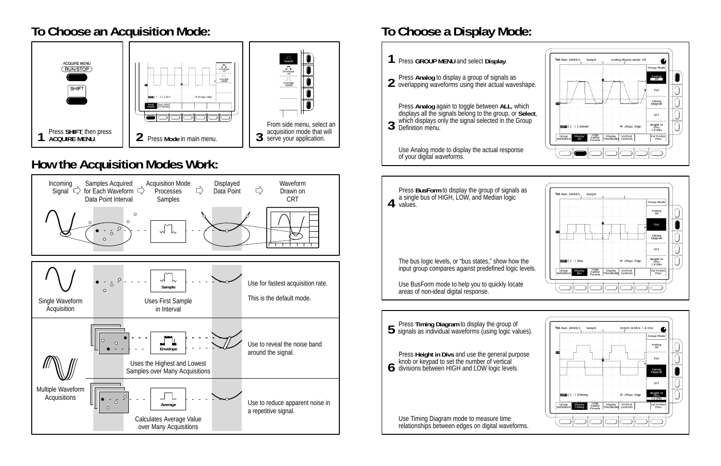

### **To Choose an Acquisition Mode:**



## **To Choose a Display Mode:**



### **How the Acquisition Modes Work:**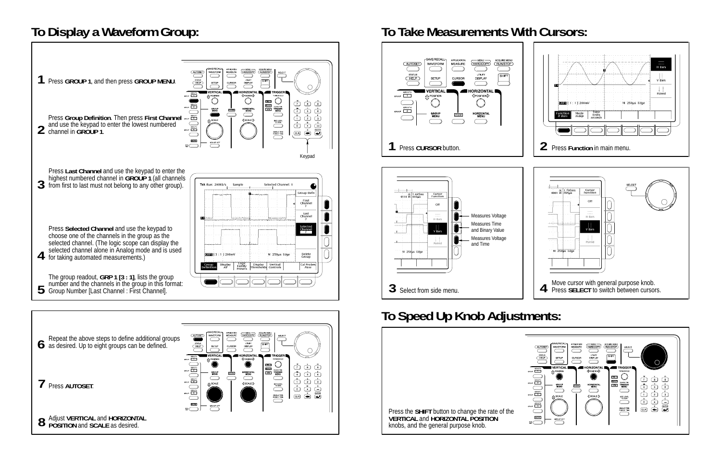# **To Display a Waveform Group: To Take Measurements With Cursors:**













|                                                                                                    | GROUE            |
|----------------------------------------------------------------------------------------------------|------------------|
|                                                                                                    |                  |
|                                                                                                    |                  |
|                                                                                                    |                  |
| Press the <b>SHIFT</b> button to change the rate of the<br><b>VERTICAL and HORIZONTAL POSITION</b> |                  |
| knobs, and the general purpose knob.                                                               | ACO <sub>1</sub> |



# **To Speed Up Knob Adjustments:**